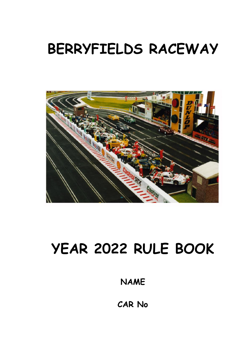# **BERRYFIELDS RACEWAY**



# **YEAR 2022 RULE BOOK**

**NAME**

**CAR No**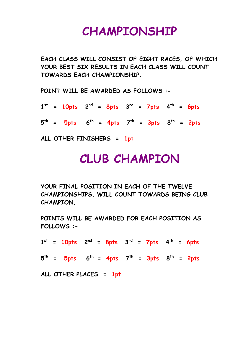## **CHAMPIONSHIP**

**EACH CLASS WILL CONSIST OF EIGHT RACES, OF WHICH YOUR BEST SIX RESULTS IN EACH CLASS WILL COUNT TOWARDS EACH CHAMPIONSHIP.**

**POINT WILL BE AWARDED AS FOLLOWS :-**

 $1^{st}$  = 10pts  $2^{nd}$  = 8pts  $3^{rd}$  = 7pts  $4^{th}$  = 6pts

**5 th = 5pts 6 th = 4pts 7 th = 3pts 8 th = 2pts**

**ALL OTHER FINISHERS = 1pt**

## **CLUB CHAMPION**

**YOUR FINAL POSITION IN EACH OF THE TWELVE CHAMPIONSHIPS, WILL COUNT TOWARDS BEING CLUB CHAMPION.**

**POINTS WILL BE AWARDED FOR EACH POSITION AS FOLLOWS :-**

 $1^{st}$  = 10pts  $2^{nd}$  = 8pts  $3^{rd}$  = 7pts  $4^{th}$  = 6pts

**5 th = 5pts 6 th = 4pts 7 th = 3pts 8 th = 2pts**

**ALL OTHER PLACES = 1pt**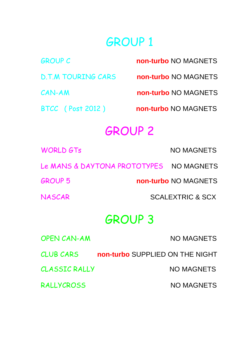## GROUP 1

| <b>GROUP C</b>               | non-turbo NO MAGNETS |
|------------------------------|----------------------|
| <b>D.T.M TOURING CARS</b>    | non-turbo NO MAGNETS |
| CAN-AM                       | non-turbo NO MAGNETS |
| <b>BTCC</b> (Post 2012)      | non-turbo NO MAGNETS |
| <b>GROUP 2</b>               |                      |
| <b>WORLD GTs</b>             | <b>NO MAGNETS</b>    |
| Le MANS & DAYTONA PROTOTYPES | <b>NO MAGNETS</b>    |
| <b>GROUP 5</b>               | non-turbo NO MAGNETS |

NASCAR SCALEXTRIC & SCX

## GROUP 3

| <b>OPEN CAN-AM</b>   | <b>NO MAGNETS</b>               |
|----------------------|---------------------------------|
| <b>CLUB CARS</b>     | non-turbo SUPPLIED ON THE NIGHT |
| <b>CLASSIC RALLY</b> | NO MAGNETS                      |
| <b>RALLYCROSS</b>    | <b>NO MAGNETS</b>               |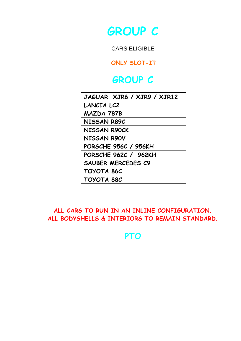

CARS ELIGIBLE

**ONLY SLOT-IT**

### **GROUP C**

| JAGUAR XJR6 / XJR9 / XJR12  |
|-----------------------------|
| LANCIA LC2                  |
| MAZDA 787B                  |
| NISSAN R89C                 |
| <b>NISSAN R90CK</b>         |
| <b>NISSAN R90V</b>          |
| <b>PORSCHE 956C / 956KH</b> |
| PORSCHE 962C / 962KH        |
| SAUBER MERCEDES C9          |
| TOYOTA 86C                  |
| TOYOTA 88C                  |

**ALL CARS TO RUN IN AN INLINE CONFIGURATION. ALL BODYSHELLS & INTERIORS TO REMAIN STANDARD.**

**PTO**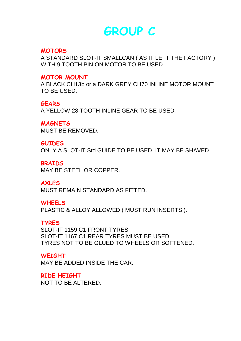### **GROUP C**

#### **MOTORS**

A STANDARD SLOT-IT SMALLCAN ( AS IT LEFT THE FACTORY ) WITH 9 TOOTH PINION MOTOR TO BE USED.

#### **MOTOR MOUNT**

A BLACK CH13b or a DARK GREY CH70 INLINE MOTOR MOUNT TO BE USED.

#### **GEARS**

A YELLOW 28 TOOTH INLINE GEAR TO BE USED.

**MAGNETS** MUST BE REMOVED.

#### **GUIDES**

ONLY A SLOT-IT Std GUIDE TO BE USED, IT MAY BE SHAVED.

**BRAIDS** 

MAY BE STEEL OR COPPER.

#### **AXLES**

MUST REMAIN STANDARD AS FITTED.

#### **WHEELS**

PLASTIC & ALLOY ALLOWED ( MUST RUN INSERTS ).

#### **TYRES**

SLOT-IT 1159 C1 FRONT TYRES SLOT-IT 1167 C1 REAR TYRES MUST BE USED. TYRES NOT TO BE GLUED TO WHEELS OR SOFTENED.

#### **WEIGHT**

MAY BE ADDED INSIDE THE CAR.

**RIDE HEIGHT**  NOT TO BE ALTERED.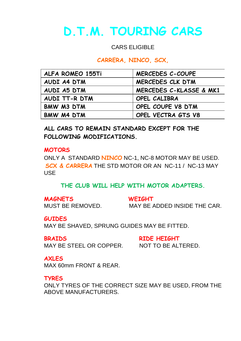# **D.T.M. TOURING CARS**

#### CARS ELIGIBLE

#### **CARRERA, NINCO, SCX,**

| ALFA ROMEO 155Ti | MERCEDES C-COUPE        |
|------------------|-------------------------|
| AUDI A4 DTM      | MERCEDES CLK DTM        |
| AUDI A5 DTM      | MERCEDES C-KLASSE & MK1 |
| AUDI TT-R DTM    | OPEL CALIBRA            |
| BMW M3 DTM       | OPEL COUPE V8 DTM       |
| BMW M4 DTM       | OPEL VECTRA GTS V8      |

**ALL CARS TO REMAIN STANDARD EXCEPT FOR THE FOLLOWING MODIFICATIONS.**

#### **MOTORS**

ONLY A STANDARD **NINCO** NC-1, NC-8 MOTOR MAY BE USED. **SCX & CARRERA** THE STD MOTOR OR AN NC-11 / NC-13 MAY USE

#### **THE CLUB WILL HELP WITH MOTOR ADAPTERS.**

#### **MAGNETS WEIGHT**

MUST BE REMOVED. MAY BE ADDED INSIDE THE CAR.

#### **GUIDES**

MAY BE SHAVED, SPRUNG GUIDES MAY BE FITTED.

**BRAIDS RIDE HEIGHT** MAY BE STEEL OR COPPER. NOT TO BE ALTERED.

**AXLES** MAX 60mm FRONT & REAR.

**TYRES**

ONLY TYRES OF THE CORRECT SIZE MAY BE USED, FROM THE ABOVE MANUFACTURERS.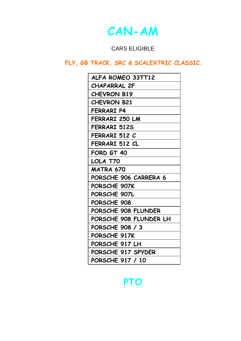### **CAN-AM**

### CARS ELIGIBLE

### **FLY, GB TRACK, SRC & SCALEXTRIC CLASSIC.**

| ALFA ROMEO 33TT12      |
|------------------------|
| CHAPARRAL 2F           |
| <b>CHEVRON B19</b>     |
| <b>CHEVRON B21</b>     |
| FERRARI P4             |
| FERRARI 250 LM         |
| FERRARI 512S           |
| FERRARI 512 C          |
| FERRARI 512 CL         |
| FORD GT 40             |
| LOLA T70               |
| <b>MATRA 670</b>       |
| PORSCHE 906 CARRERA 6  |
| PORSCHE 907K           |
| PORSCHE 907L           |
| PORSCHE 908            |
| PORSCHE 908 FLUNDER    |
| PORSCHE 908 FLUNDER LH |
| PORSCHE 908 / 3        |
| PORSCHE 917K           |
| PORSCHE 917 LH         |
| PORSCHE 917 SPYDER     |
| PORSCHE 917 / 10       |

### **PTO**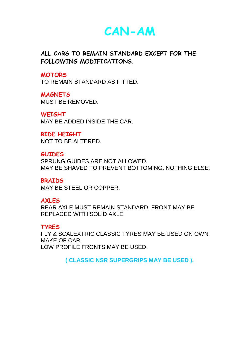**CAN-AM**

**ALL CARS TO REMAIN STANDARD EXCEPT FOR THE FOLLOWING MODIFICATIONS.**

**MOTORS**

TO REMAIN STANDARD AS FITTED.

**MAGNETS** MUST BE REMOVED.

**WEIGHT** MAY BE ADDED INSIDE THE CAR.

**RIDE HEIGHT**  NOT TO BE ALTERED.

**GUIDES** SPRUNG GUIDES ARE NOT ALLOWED. MAY BE SHAVED TO PREVENT BOTTOMING, NOTHING ELSE.

**BRAIDS**  MAY BE STEEL OR COPPER.

**AXLES**

REAR AXLE MUST REMAIN STANDARD, FRONT MAY BE REPLACED WITH SOLID AXLE.

**TYRES**

FLY & SCALEXTRIC CLASSIC TYRES MAY BE USED ON OWN MAKE OF CAR. LOW PROFILE FRONTS MAY BE USED.

**( CLASSIC NSR SUPERGRIPS MAY BE USED ).**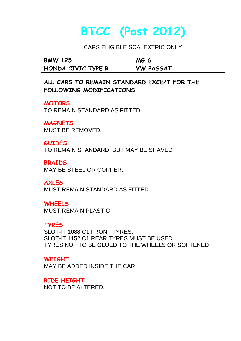# **BTCC (Post 2012)**

CARS ELIGIBLE SCALEXTRIC ONLY

| <b>BMW 125</b>     | MG.<br>o         |
|--------------------|------------------|
| HONDA CIVIC TYPE R | <b>VW PASSAT</b> |

**ALL CARS TO REMAIN STANDARD EXCEPT FOR THE FOLLOWING MODIFICATIONS.**

**MOTORS** 

TO REMAIN STANDARD AS FITTED.

**MAGNETS**  MUST BE REMOVED.

**GUIDES**  TO REMAIN STANDARD, BUT MAY BE SHAVED

**BRAIDS** MAY BE STEEL OR COPPER.

**AXLES** MUST REMAIN STANDARD AS FITTED.

**WHEELS** MUST REMAIN PLASTIC

**TYRES** SLOT-IT 1088 C1 FRONT TYRES. SLOT-IT 1152 C1 REAR TYRES MUST BE USED. TYRES NOT TO BE GLUED TO THE WHEELS OR SOFTENED

**WEIGHT** MAY BE ADDED INSIDE THE CAR.

**RIDE HEIGHT** NOT TO BE ALTERED.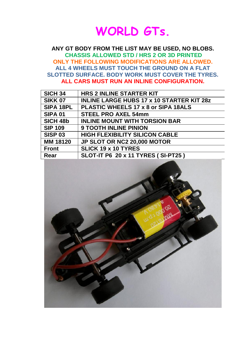

**ANY GT BODY FROM THE LIST MAY BE USED, NO BLOBS. CHASSIS ALLOWED STD / HRS 2 OR 3D PRINTED ONLY THE FOLLOWING MODIFICATIONS ARE ALLOWED. ALL 4 WHEELS MUST TOUCH THE GROUND ON A FLAT SLOTTED SURFACE. BODY WORK MUST COVER THE TYRES. ALL CARS MUST RUN AN INLINE CONFIGURATION.**

| <b>SICH 34</b> | <b>HRS 2 INLINE STARTER KIT</b>                  |
|----------------|--------------------------------------------------|
| <b>SIKK 07</b> | <b>INLINE LARGE HUBS 17 x 10 STARTER KIT 28z</b> |
| SIPA 18PL      | PLASTIC WHEELS 17 x 8 or SIPA 18ALS              |
| <b>SIPA 01</b> | <b>STEEL PRO AXEL 54mm</b>                       |
| SICH 48b       | <b>INLINE MOUNT WITH TORSION BAR</b>             |
| <b>SIP 109</b> | <b>9 TOOTH INLINE PINION</b>                     |
| <b>SISP 03</b> | <b>HIGH FLEXIBILITY SILICON CABLE</b>            |
| MM 18120       | JP SLOT OR NC2 20,000 MOTOR                      |
| <b>Front</b>   | <b>SLICK 19 x 10 TYRES</b>                       |
| Rear           | SLOT-IT P6 20 x 11 TYRES (SI-PT25)               |

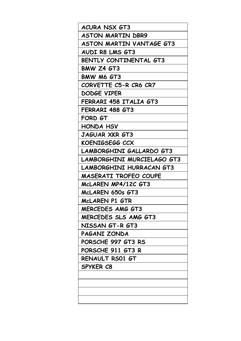| <b>ACURA NSX GT3</b>            |
|---------------------------------|
| <b>ASTON MARTIN DBR9</b>        |
| ASTON MARTIN VANTAGE GT3        |
| AUDI R8 LMS GT3                 |
| BENTLY CONTINENTAL GT3          |
| BMW Z4 GT3                      |
| BMW M6 GT3                      |
| CORVETTE C5-R CR6 CR7           |
| DODGE VIPER                     |
| FERRARI 458 ITALIA GT3          |
| FERRARI 488 GT3                 |
| FORD GT                         |
| HONDA HSV                       |
| JAGUAR XKR GT3                  |
| KOENIGSEGG CCX                  |
| LAMBORGHINI GALLARDO GT3        |
| LAMBORGHINI MURCIELAGO GT3      |
| <b>LAMBORGHINI HURRACAN GT3</b> |
| MASERATI TROFEO COUPE           |
| McLAREN MP4/12C GT3             |
| McLAREN 650s GT3                |
| MCLAREN P1 GTR                  |
| <b>MERCEDES AMG GT3</b>         |
| MERCEDES SLS AMG GT3            |
| NISSAN GT-R GT3                 |
| PAGANI ZONDA                    |
| PORSCHE 997 GT3 RS              |
| PORSCHE 911 GT3 R               |
| RENAULT RS01 GT                 |
|                                 |
| SPYKER C8                       |
|                                 |
|                                 |
|                                 |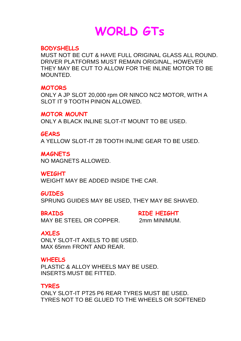# **WORLD GTs**

#### **BODYSHELLS**

MUST NOT BE CUT & HAVE FULL ORIGINAL GLASS ALL ROUND. DRIVER PLATFORMS MUST REMAIN ORIGINAL, HOWEVER THEY MAY BE CUT TO ALLOW FOR THE INLINE MOTOR TO BE MOLINTED.

#### **MOTORS**

ONLY A JP SLOT 20,000 rpm OR NINCO NC2 MOTOR, WITH A SLOT IT 9 TOOTH PINION ALLOWED.

**MOTOR MOUNT**

ONLY A BLACK INLINE SLOT-IT MOUNT TO BE USED.

#### **GEARS**

A YELLOW SLOT-IT 28 TOOTH INLINE GEAR TO BE USED.

#### **MAGNETS**

NO MAGNETS ALLOWED.

#### **WEIGHT**

WEIGHT MAY BE ADDED INSIDE THE CAR.

#### **GUIDES**

SPRUNG GUIDES MAY BE USED, THEY MAY BE SHAVED.

**BRAIDS RIDE HEIGHT** MAY BE STEEL OR COPPER. 2mm MINIMUM.

#### **AXLES**

ONLY SLOT-IT AXELS TO BE USED. MAX 65mm FRONT AND REAR.

#### **WHEELS**

PLASTIC & ALLOY WHEELS MAY BE USED. INSERTS MUST BE FITTED.

### **TYRES**

ONLY SLOT-IT PT25 P6 REAR TYRES MUST BE USED. TYRES NOT TO BE GLUED TO THE WHEELS OR SOFTENED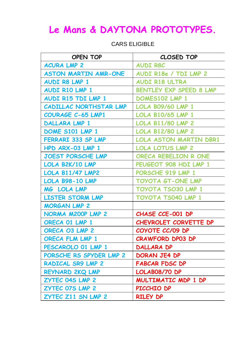### **Le Mans & DAYTONA PROTOTYPES.**

CARS ELIGIBLE

| OPEN TOP                    | CLOSED TOP                     |
|-----------------------------|--------------------------------|
| <b>ACURA LMP 2</b>          | <b>AUDI R8C</b>                |
| <b>ASTON MARTIN AMR-ONE</b> | AUDI R18e / TDI LMP 2          |
| AUDI R8 LMP 1               | <b>AUDI R18 ULTRA</b>          |
| AUDI R10 LMP 1              | <b>BENTLEY EXP SPEED 8 LMP</b> |
| AUDI R15 TDI LMP 1          | DOMES102 LMP 1                 |
| CADILLAC NORTHSTAR LMP      | <b>LOLA B09/60 LMP 1</b>       |
| <b>COURAGE C-65 LMP1</b>    | <b>LOLA B10/65 LMP 1</b>       |
| DALLARA LMP 1               | <b>LOLA B11/80 LMP 2</b>       |
| DOME S101 LMP 1             | <b>LOLA B12/80 LMP 2</b>       |
| <b>FERRARI 333 SP LMP</b>   | <b>LOLA ASTON MARTIN DBR1</b>  |
| HPD ARX-03 LMP 1            | <b>LOLA LOTUS LMP 2</b>        |
| <b>JOEST PORSCHE LMP</b>    | ORECA REBELION R ONE           |
| LOLA B2K/10 LMP             | PEUGEOT 908 HDI LMP 1          |
| <b>LOLA B11/47 LMP2</b>     | PORSCHE 919 LMP 1              |
| LOLA B98-10 LMP             | <b>TOYOTA GT-ONE LMP</b>       |
| MG LOLA LMP                 | <b>TOYOTA TSO30 LMP 1</b>      |
| <b>LISTER STORM LMP</b>     | TOYOTA TS040 LMP 1             |
| <b>MORGAN LMP 2</b>         |                                |
| NORMA M200P LMP 2           | CHASE CCE-001 DP               |
| ORECA 01 LMP 1              | CHEVROLET CORVETTE DP          |
| ORECA O3 LMP 2              | COYOTE CC/09 DP                |
| <b>ORECA FLM LMP 1</b>      | <b>CRAWFORD DP03 DP</b>        |
| PESCAROLO 01 LMP 1          | DALLARA DP                     |
| PORSCHE RS SPYDER LMP 2     | DORAN JE4 DP                   |
| RADICAL SR9 LMP 2           | <b>FABCAR FDSC DP</b>          |
| <b>REYNARD 2KQ LMP</b>      | LOLAB08/70 DP                  |
| <b>ZYTEC 04S LMP 2</b>      | MULTIMATIC MDP 1 DP            |
| <b>ZYTEC 07S LMP 2</b>      | PICCHIO DP                     |
| ZYTEC Z11 SN LMP 2          | <b>RILEY DP</b>                |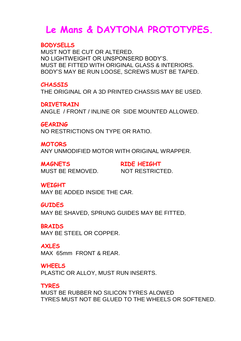### **Le Mans & DAYTONA PROTOTYPES.**

#### **BODYSELLS**

MUST NOT BE CUT OR ALTERED. NO LIGHTWEIGHT OR UNSPONSERD BODY'S. MUST BE FITTED WITH ORIGINAL GLASS & INTERIORS. BODY'S MAY BE RUN LOOSE, SCREWS MUST BE TAPED.

#### **CHASSIS**

THE ORIGINAL OR A 3D PRINTED CHASSIS MAY BE USED.

#### **DRIVETRAIN**

ANGLE / FRONT / INLINE OR SIDE MOUNTED ALLOWED.

**GEARING**

NO RESTRICTIONS ON TYPE OR RATIO.

#### **MOTORS**

ANY UNMODIFIED MOTOR WITH ORIGINAL WRAPPER.

**MAGNETS RIDE HEIGHT** MUST BE REMOVED. NOT RESTRICTED.

#### **WEIGHT**

MAY BE ADDED INSIDE THE CAR.

#### **GUIDES**

MAY BE SHAVED, SPRUNG GUIDES MAY BE FITTED.

#### **BRAIDS**

MAY BE STEEL OR COPPER.

#### **AXLES**

MAX 65mm FRONT & REAR.

#### **WHEELS**

PLASTIC OR ALLOY, MUST RUN INSERTS.

#### **TYRES**

MUST BE RUBBER NO SILICON TYRES ALOWED TYRES MUST NOT BE GLUED TO THE WHEELS OR SOFTENED.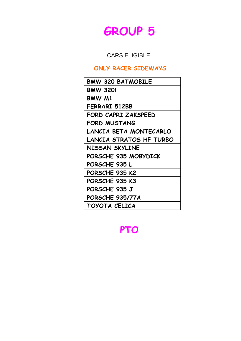

CARS ELIGIBLE.

### **ONLY RACER SIDEWAYS**

| <b>BMW 320 BATMOBILE</b> |
|--------------------------|
| <b>BMW 320i</b>          |
| BMW M1                   |
| FERRARI 512BB            |
| FORD CAPRI ZAKSPEED      |
| <b>FORD MUSTANG</b>      |
| LANCIA BETA MONTECARLO   |
| LANCIA STRATOS HF TURBO  |
| NISSAN SKYLINE           |
| PORSCHE 935 MOBYDICK     |
| PORSCHE 935 L            |
| PORSCHE 935 K2           |
| PORSCHE 935 K3           |
| PORSCHE 935 J            |
| PORSCHE 935/77A          |
| TOYOTA CELICA            |

**PTO**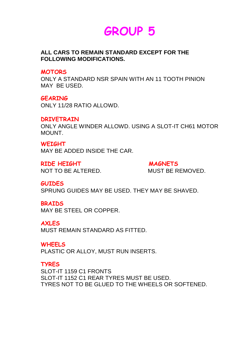## **GROUP 5**

#### **ALL CARS TO REMAIN STANDARD EXCEPT FOR THE FOLLOWING MODIFICATIONS.**

#### **MOTORS**

ONLY A STANDARD NSR SPAIN WITH AN 11 TOOTH PINION MAY BE USED.

#### **GEARING**

ONLY 11/28 RATIO ALLOWD.

#### **DRIVETRAIN**

ONLY ANGLE WINDER ALLOWD. USING A SLOT-IT CH61 MOTOR MOUNT.

**WEIGHT** MAY BE ADDED INSIDE THE CAR.

RIDE HEIGHT **MAGNETS** NOT TO BE ALTERED. MUST BE REMOVED.

#### **GUIDES**

SPRUNG GUIDES MAY BE USED. THEY MAY BE SHAVED.

#### **BRAIDS**

MAY BE STEEL OR COPPER.

#### **AXLES**

MUST REMAIN STANDARD AS FITTED.

#### **WHEELS**

PLASTIC OR ALLOY, MUST RUN INSERTS.

#### **TYRES**

SLOT-IT 1159 C1 FRONTS SLOT-IT 1152 C1 REAR TYRES MUST BE USED. TYRES NOT TO BE GLUED TO THE WHEELS OR SOFTENED.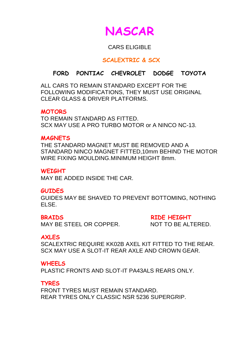

#### CARS ELIGIBLE

#### **SCALEXTRIC & SCX**

### **FORD PONTIAC CHEVROLET DODGE TOYOTA**

ALL CARS TO REMAIN STANDARD EXCEPT FOR THE FOLLOWING MODIFICATIONS, THEY MUST USE ORIGINAL CLEAR GLASS & DRIVER PLATFORMS.

#### **MOTORS**

TO REMAIN STANDARD AS FITTED. SCX MAY USE A PRO TURBO MOTOR or A NINCO NC-13

#### **MAGNETS**

THE STANDARD MAGNET MUST BE REMOVED AND A STANDARD NINCO MAGNET FITTED,10mm BEHIND THE MOTOR WIRE FIXING MOULDING.MINIMUM HEIGHT 8mm.

#### **WEIGHT**

MAY BE ADDED INSIDE THE CAR.

#### **GUIDES**

GUIDES MAY BE SHAVED TO PREVENT BOTTOMING, NOTHING ELSE.

**BRAIDS RIDE HEIGHT** 

MAY BE STEEL OR COPPER NOT TO BE ALTERED.

#### **AXLES**

SCALEXTRIC REQUIRE KK02B AXEL KIT FITTED TO THE REAR. SCX MAY USE A SLOT-IT REAR AXLE AND CROWN GEAR.

#### **WHEELS**

PLASTIC FRONTS AND SLOT-IT PA43ALS REARS ONLY.

#### **TYRES**

FRONT TYRES MUST REMAIN STANDARD. REAR TYRES ONLY CLASSIC NSR 5236 SUPERGRIP.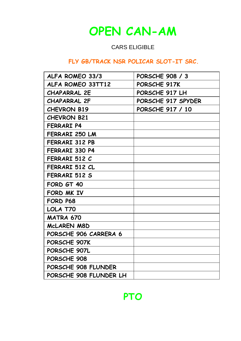

### CARS ELIGIBLE

### **FLY GB/TRACK NSR POLICAR SLOT-IT SRC.**

| ALFA ROMEO 33/3        | PORSCHE 908 / 3    |
|------------------------|--------------------|
| ALFA ROMEO 33TT12      | PORSCHE 917K       |
| <b>CHAPARRAL 2E</b>    | PORSCHE 917 LH     |
| <b>CHAPARRAL 2F</b>    | PORSCHE 917 SPYDER |
| <b>CHEVRON B19</b>     | PORSCHE 917 / 10   |
| <b>CHEVRON B21</b>     |                    |
| <b>FERRARI P4</b>      |                    |
| FERRARI 250 LM         |                    |
| FERRARI 312 PB         |                    |
| FERRARI 330 P4         |                    |
| FERRARI 512 C          |                    |
| FERRARI 512 CL         |                    |
| FERRARI 512 S          |                    |
| FORD GT 40             |                    |
| FORD MK IV             |                    |
| FORD P68               |                    |
| LOLA T70               |                    |
| MATRA 670              |                    |
| MCLAREN M8D            |                    |
| PORSCHE 906 CARRERA 6  |                    |
| PORSCHE 907K           |                    |
| PORSCHE 907L           |                    |
| PORSCHE 908            |                    |
| PORSCHE 908 FLUNDER    |                    |
| PORSCHE 908 FLUNDER LH |                    |

### **PTO**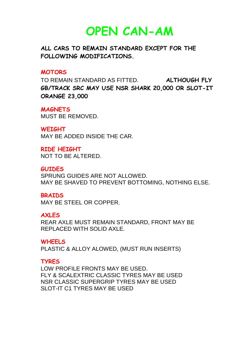**OPEN CAN-AM**

**ALL CARS TO REMAIN STANDARD EXCEPT FOR THE FOLLOWING MODIFICATIONS.**

#### **MOTORS**

TO REMAIN STANDARD AS FITTED. **ALTHOUGH FLY GB/TRACK SRC MAY USE NSR SHARK 20,000 OR SLOT-IT ORANGE 23,000** 

#### **MAGNETS**

MUST BE REMOVED.

#### **WEIGHT**

MAY BE ADDED INSIDE THE CAR.

**RIDE HEIGHT**  NOT TO BE ALTERED.

**GUIDES**

SPRUNG GUIDES ARE NOT ALLOWED. MAY BE SHAVED TO PREVENT BOTTOMING, NOTHING ELSE.

#### **BRAIDS**

MAY BE STEEL OR COPPER.

#### **AXLES**

REAR AXLE MUST REMAIN STANDARD, FRONT MAY BE REPLACED WITH SOLID AXLE.

#### **WHEELS**

PLASTIC & ALLOY ALOWED, (MUST RUN INSERTS)

#### **TYRES**

LOW PROFILE FRONTS MAY BE USED. FLY & SCALEXTRIC CLASSIC TYRES MAY BE USED NSR CLASSIC SUPERGRIP TYRES MAY BE USED SLOT-IT C1 TYRES MAY BE USED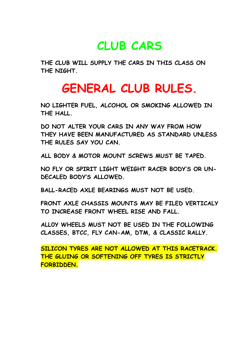## **CLUB CARS**

**THE CLUB WILL SUPPLY THE CARS IN THIS CLASS ON THE NIGHT.**

## **GENERAL CLUB RULES.**

**NO LIGHTER FUEL, ALCOHOL OR SMOKING ALLOWED IN THE HALL.**

**DO NOT ALTER YOUR CARS IN ANY WAY FROM HOW THEY HAVE BEEN MANUFACTURED AS STANDARD UNLESS THE RULES SAY YOU CAN.**

**ALL BODY & MOTOR MOUNT SCREWS MUST BE TAPED.**

**NO FLY OR SPIRIT LIGHT WEIGHT RACER BODY'S OR UN-DECALED BODY'S ALLOWED.**

**BALL-RACED AXLE BEARINGS MUST NOT BE USED.**

**FRONT AXLE CHASSIS MOUNTS MAY BE FILED VERTICALY TO INCREASE FRONT WHEEL RISE AND FALL.**

**ALL0Y WHEELS MUST NOT BE USED IN THE FOLLOWING CLASSES, BTCC, FLY CAN-AM, DTM, & CLASSIC RALLY.**

**SILICON TYRES ARE NOT ALLOWED AT THIS RACETRACK. THE GLUING OR SOFTENING OFF TYRES IS STRICTLY FORBIDDEN.**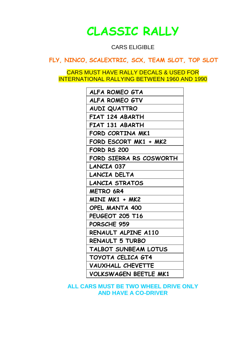### **CLASSIC RALLY**

CARS ELIGIBLE

**FLY, NINCO, SCALEXTRIC, SCX, TEAM SLOT, TOP SLOT**

CARS MUST HAVE RALLY DECALS & USED FOR INTERNATIONAL RALLYING BETWEEN 1960 AND 1990

| ALFA ROMEO GTA           |
|--------------------------|
| ALFA ROMEO GTV           |
| AUDI QUATTRO             |
| FIAT 124 ABARTH          |
| FIAT 131 ABARTH          |
| FORD CORTINA MK1         |
| FORD ESCORT MK1 + MK2    |
| <b>FORD RS 200</b>       |
| FORD SIERRA RS COSWORTH  |
| LANCIA 037               |
| LANCIA DELTA             |
| LANCIA STRATOS           |
| <b>METRO 6R4</b>         |
| MINI MK1 + MK2           |
| OPEL MANTA 400           |
| PEUGEOT 205 T16          |
| PORSCHE 959              |
| RENAULT ALPINE A110      |
| RENAULT 5 TURBO          |
| TALBOT SUNBEAM LOTUS     |
| TOYOTA CELICA GT4        |
| <b>VAUXHALL CHEVETTE</b> |
| VOLKSWAGEN BEETLE MK1    |
|                          |

**ALL CARS MUST BE TWO WHEEL DRIVE ONLY AND HAVE A CO-DRIVER**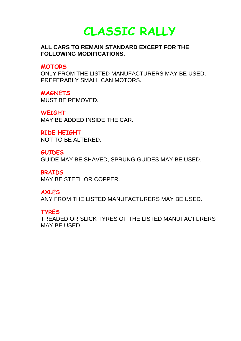**CLASSIC RALLY**

#### **ALL CARS TO REMAIN STANDARD EXCEPT FOR THE FOLLOWING MODIFICATIONS.**

#### **MOTORS**

ONLY FROM THE LISTED MANUFACTURERS MAY BE USED. PREFERABLY SMALL CAN MOTORS.

**MAGNETS**  MUST BE REMOVED.

**WEIGHT** MAY BE ADDED INSIDE THE CAR.

**RIDE HEIGHT** NOT TO BE ALTERED.

**GUIDES**  GUIDE MAY BE SHAVED, SPRUNG GUIDES MAY BE USED.

**BRAIDS**  MAY BE STEEL OR COPPER.

**AXLES**

ANY FROM THE LISTED MANUFACTURERS MAY BE USED.

#### **TYRES**

TREADED OR SLICK TYRES OF THE LISTED MANUFACTURERS MAY BE USED.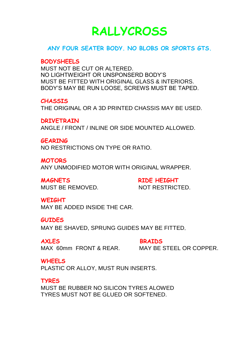## **RALLYCROSS**

#### **ANY FOUR SEATER BODY. NO BLOBS OR SPORTS GTS.**

#### **BODYSHEELS**

MUST NOT BE CUT OR ALTERED. NO LIGHTWEIGHT OR UNSPONSERD BODY'S MUST BE FITTED WITH ORIGINAL GLASS & INTERIORS. BODY'S MAY BE RUN LOOSE, SCREWS MUST BE TAPED.

#### **CHASSIS**

THE ORIGINAL OR A 3D PRINTED CHASSIS MAY BE USED.

**DRIVETRAIN** ANGLE / FRONT / INLINE OR SIDE MOUNTED ALLOWED.

#### **GEARING**

NO RESTRICTIONS ON TYPE OR RATIO.

**MOTORS** 

ANY UNMODIFIED MOTOR WITH ORIGINAL WRAPPER.

**MAGNETS RIDE HEIGHT** MUST BE REMOVED. NOT RESTRICTED.

#### **WEIGHT**

MAY BE ADDED INSIDE THE CAR.

#### **GUIDES**

MAY BE SHAVED, SPRUNG GUIDES MAY BE FITTED.

**AXLES BRAIDS** MAX 60mm FRONT & REAR. MAY BE STEEL OR COPPER.

**WHEELS**

PLASTIC OR ALLOY, MUST RUN INSERTS.

#### **TYRES**

MUST BE RUBBER NO SILICON TYRES ALOWED TYRES MUST NOT BE GLUED OR SOFTENED.